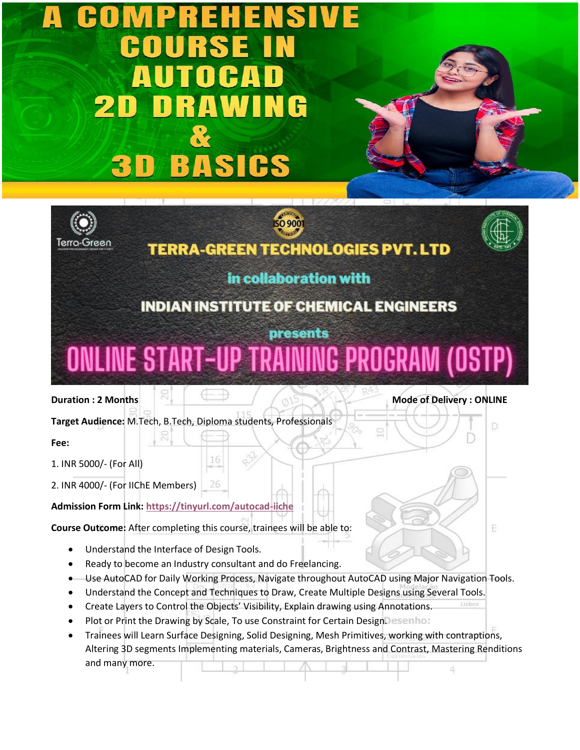## S DRAW NG 21 **3D BASICS**

**TERRA-GREEN TECHNOLOGIES PVT. LTD** 

**SO 9001** 

## in collaboration with

## **INDIAN INSTITUTE OF CHEMICAL ENGINEERS**

D

E

## **presents ONLINE START-UP TRAINING PROGRAM (OSTP)**

**Duration : 2 Months Mode of Delivery : ONLINE** 

Terra-Green

**Target Audience:** M.Tech, B.Tech, Diploma students, Professionals

**Fee:** 

1. INR 5000/- (For All)

2. INR 4000/- (For IIChE Members)

**Admission Form Link: <https://tinyurl.com/autocad-iiche>**

**Course Outcome:** After completing this course, trainees will be able to:

16

26

- Understand the Interface of Design Tools.
- Ready to become an Industry consultant and do Freelancing.
- Use AutoCAD for Daily Working Process, Navigate throughout AutoCAD using Major Navigation Tools.
- Understand the Concept and Techniques to Draw, Create Multiple Designs using Several Tools.
- Create Layers to Control the Objects' Visibility, Explain drawing using Annotations.
- Plot or Print the Drawing by Scale, To use Constraint for Certain Design. esembo:
- Trainees will Learn Surface Designing, Solid Designing, Mesh Primitives, working with contraptions, Altering 3D segments Implementing materials, Cameras, Brightness and Contrast, Mastering Renditions and many more.4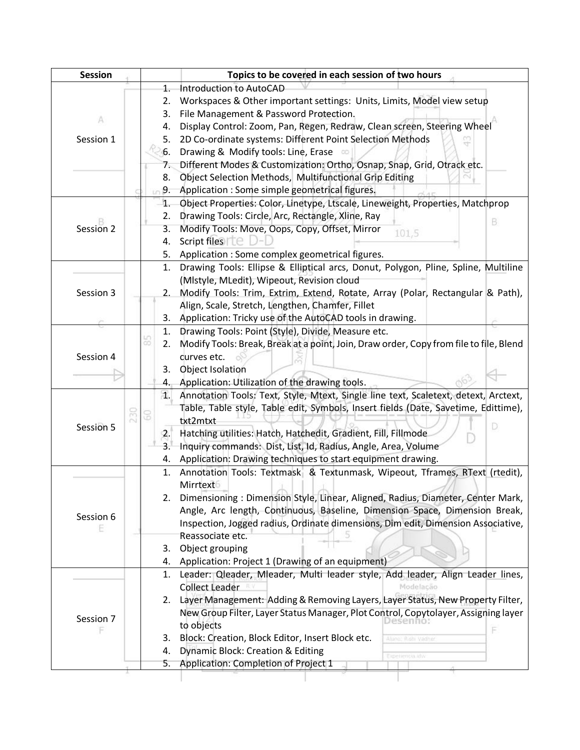| <b>Session</b> |     |                  | Topics to be covered in each session of two hours                                      |
|----------------|-----|------------------|----------------------------------------------------------------------------------------|
|                |     | 1.               | Introduction to AutoCAD                                                                |
|                |     | 2.               | Workspaces & Other important settings: Units, Limits, Model view setup                 |
| A              |     | 3.               | File Management & Password Protection.                                                 |
|                |     | 4.               | Display Control: Zoom, Pan, Regen, Redraw, Clean screen, Steering Wheel                |
| Session 1      |     | 5.               | 2D Co-ordinate systems: Different Point Selection Methods                              |
|                |     | 6.               | Drawing & Modify tools: Line, Erase on                                                 |
|                |     | 7.               | Different Modes & Customization: Ortho, Osnap, Snap, Grid, Otrack etc.                 |
|                |     | 8.               | Object Selection Methods, Multifunctional Grip Editing                                 |
|                |     | 9.               | Application : Some simple geometrical figures.                                         |
|                |     | 1.               | Object Properties: Color, Linetype, Ltscale, Lineweight, Properties, Matchprop         |
|                |     | 2.               | Drawing Tools: Circle, Arc, Rectangle, Xline, Ray                                      |
| Session 2      |     | 3.               | в<br>Modify Tools: Move, Oops, Copy, Offset, Mirror<br>101,5                           |
|                |     | 4.               | Script files $\Box$                                                                    |
|                |     | 5.               | Application : Some complex geometrical figures.                                        |
|                |     | 1.               | Drawing Tools: Ellipse & Elliptical arcs, Donut, Polygon, Pline, Spline, Multiline     |
|                |     |                  | (Mistyle, MLedit), Wipeout, Revision cloud                                             |
| Session 3      |     | 2.               | Modify Tools: Trim, Extrim, Extend, Rotate, Array (Polar, Rectangular & Path),         |
|                |     |                  | Align, Scale, Stretch, Lengthen, Chamfer, Fillet                                       |
|                |     | 3.               | Application: Tricky use of the AutoCAD tools in drawing.                               |
|                |     | 1.               | Drawing Tools: Point (Style), Divide, Measure etc.                                     |
|                |     | аö<br>2.         | Modify Tools: Break, Break at a point, Join, Draw order, Copy from file to file, Blend |
| Session 4      |     |                  | durves etc.                                                                            |
|                |     | 3.               | Object Isolation                                                                       |
|                |     | 4.               | Application: Utilization of the drawing tools.                                         |
|                |     |                  | 1. Annotation Tools: Text, Style, Mtext, Single line text, Scaletext, detext, Arctext, |
|                |     |                  | Table, Table style, Table edit, Symbols, Insert fields (Date, Savetime, Edittime),     |
|                | 230 | 3                | txt2mtxt                                                                               |
| Session 5      |     | $\overline{2}$ . | D<br>Hatching utilities: Hatch, Hatchedit, Gradient, Fill, Fillmode                    |
|                |     | 3.               | Inquiry commands: Dist, List, Id, Radius, Angle, Area, Volume                          |
|                |     | 4.               | Application: Drawing techniques to start equipment drawing.                            |
|                |     | 1.               | Annotation Tools: Textmask & Textunmask, Wipeout, Tframes, RText (rtedit),             |
|                |     |                  | Mirrtext                                                                               |
|                |     | 2.               | Dimensioning: Dimension Style, Linear, Aligned, Radius, Diameter, Center Mark,         |
|                |     |                  | Angle, Arc length, Continuous, Baseline, Dimension Space, Dimension Break,             |
| Session 6      |     |                  | Inspection, Jogged radius, Ordinate dimensions, Dim edit, Dimension Associative,       |
|                |     |                  | Reassociate etc.                                                                       |
|                |     | 3.               | Object grouping                                                                        |
|                |     | 4.               | Application: Project 1 (Drawing of an equipment)                                       |
|                |     | 1.               | Leader: Qleader, Mleader, Multi leader style, Add leader, Align Leader lines,          |
|                |     |                  | <b>Collect Leader</b><br>Modelação                                                     |
|                |     | 2.               | Layer Management: Adding & Removing Layers, Layer Status, New Property Filter,         |
|                |     |                  | New Group Filter, Layer Status Manager, Plot Control, Copytolayer, Assigning layer     |
| Session 7      |     |                  | to objects                                                                             |
|                |     | 3.               | F<br>Block: Creation, Block Editor, Insert Block etc.<br>Aluno: Rishi Vadhe            |
|                |     | 4.               | Dynamic Block: Creation & Editing                                                      |
|                |     | 5.               | Experiencia.idw<br>Application: Completion of Project 1                                |
|                |     |                  |                                                                                        |